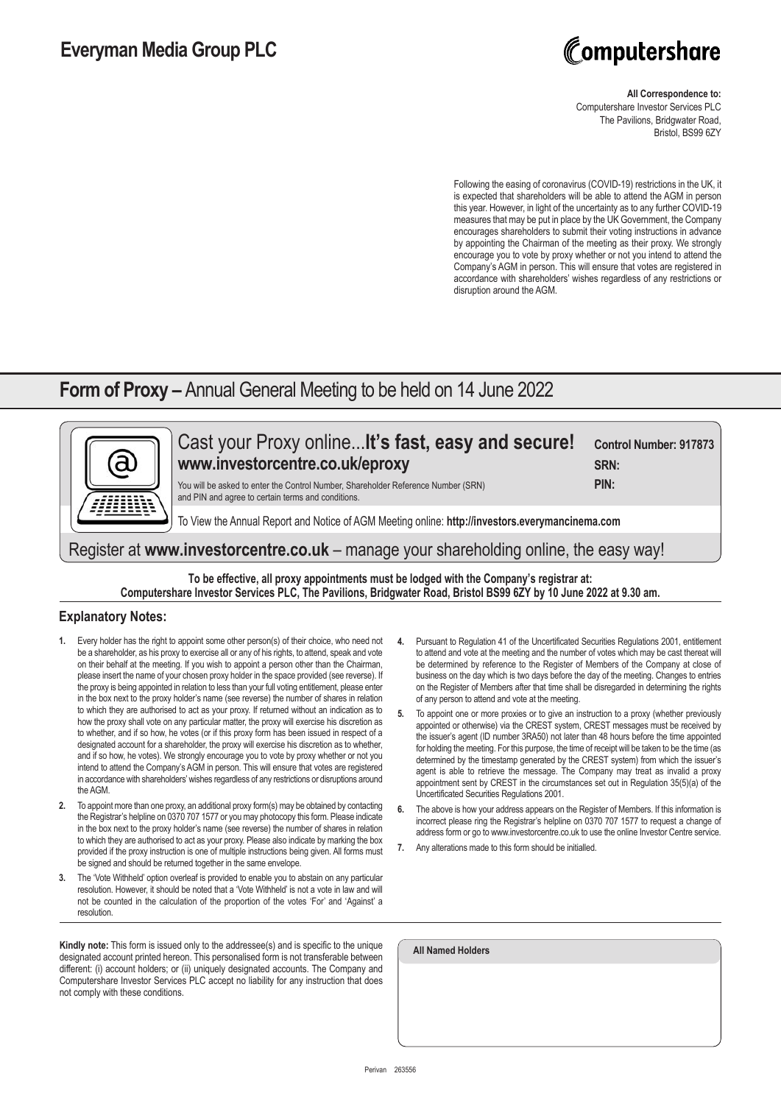# Computershare

#### **All Correspondence to:**

Computershare Investor Services PLC The Pavilions, Bridgwater Road, Bristol, BS99 6ZY

Following the easing of coronavirus (COVID-19) restrictions in the UK, it is expected that shareholders will be able to attend the AGM in person this year. However, in light of the uncertainty as to any further COVID-19 measures that may be put in place by the UK Government, the Company encourages shareholders to submit their voting instructions in advance by appointing the Chairman of the meeting as their proxy. We strongly encourage you to vote by proxy whether or not you intend to attend the Company's AGM in person. This will ensure that votes are registered in accordance with shareholders' wishes regardless of any restrictions or disruption around the AGM.

### **Form of Proxy –** Annual General Meeting to be held on 14 June 2022



### **To be effective, all proxy appointments must be lodged with the Company's registrar at: Computershare Investor Services PLC, The Pavilions, Bridgwater Road, Bristol BS99 6ZY by 10 June 2022 at 9.30 am.**

#### **Explanatory Notes:**

- **1.** Every holder has the right to appoint some other person(s) of their choice, who need not be a shareholder, as his proxy to exercise all or any of his rights, to attend, speak and vote on their behalf at the meeting. If you wish to appoint a person other than the Chairman, please insert the name of your chosen proxy holder in the space provided (see reverse). If the proxy is being appointed in relation to less than your full voting entitlement, please enter in the box next to the proxy holder's name (see reverse) the number of shares in relation to which they are authorised to act as your proxy. If returned without an indication as to how the proxy shall vote on any particular matter, the proxy will exercise his discretion as to whether, and if so how, he votes (or if this proxy form has been issued in respect of a designated account for a shareholder, the proxy will exercise his discretion as to whether, and if so how, he votes). We strongly encourage you to vote by proxy whether or not you intend to attend the Company's AGM in person. This will ensure that votes are registered in accordance with shareholders' wishes regardless of any restrictions or disruptions around the AGM.
- **2.** To appoint more than one proxy, an additional proxy form(s) may be obtained by contacting the Registrar's helpline on 0370 707 1577 or you may photocopy this form. Please indicate in the box next to the proxy holder's name (see reverse) the number of shares in relation to which they are authorised to act as your proxy. Please also indicate by marking the box provided if the proxy instruction is one of multiple instructions being given. All forms must be signed and should be returned together in the same envelope.
- **3.** The 'Vote Withheld' option overleaf is provided to enable you to abstain on any particular resolution. However, it should be noted that a 'Vote Withheld' is not a vote in law and will not be counted in the calculation of the proportion of the votes 'For' and 'Against' a resolution.

**Kindly note:** This form is issued only to the addressee(s) and is specific to the unique designated account printed hereon. This personalised form is not transferable between different: (i) account holders; or (ii) uniquely designated accounts. The Company and Computershare Investor Services PLC accept no liability for any instruction that does not comply with these conditions.

- **4.** Pursuant to Regulation 41 of the Uncertificated Securities Regulations 2001, entitlement to attend and vote at the meeting and the number of votes which may be cast thereat will be determined by reference to the Register of Members of the Company at close of business on the day which is two days before the day of the meeting. Changes to entries on the Register of Members after that time shall be disregarded in determining the rights of any person to attend and vote at the meeting.
- **5.** To appoint one or more proxies or to give an instruction to a proxy (whether previously appointed or otherwise) via the CREST system, CREST messages must be received by the issuer's agent (ID number 3RA50) not later than 48 hours before the time appointed for holding the meeting. For this purpose, the time of receipt will be taken to be the time (as determined by the timestamp generated by the CREST system) from which the issuer's agent is able to retrieve the message. The Company may treat as invalid a proxy appointment sent by CREST in the circumstances set out in Regulation 35(5)(a) of the Uncertificated Securities Regulations 2001.
- **6.** The above is how your address appears on the Register of Members. If this information is incorrect please ring the Registrar's helpline on 0370 707 1577 to request a change of address form or go to www.investorcentre.co.uk to use the online Investor Centre service.
- **7.** Any alterations made to this form should be initialled.

| <b>All Named Holders</b> |  |  |
|--------------------------|--|--|
|                          |  |  |
|                          |  |  |
|                          |  |  |
|                          |  |  |